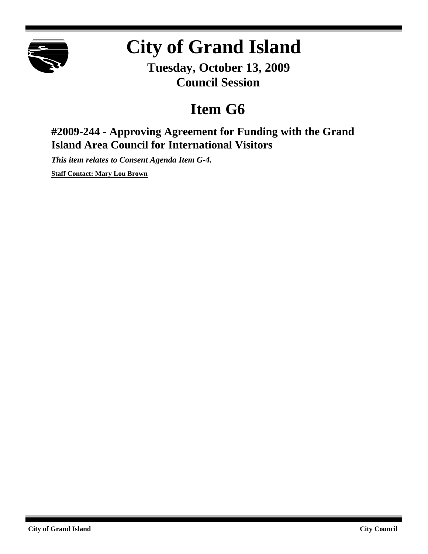

# **City of Grand Island**

**Tuesday, October 13, 2009 Council Session**

## **Item G6**

## **#2009-244 - Approving Agreement for Funding with the Grand Island Area Council for International Visitors**

*This item relates to Consent Agenda Item G-4.*

**Staff Contact: Mary Lou Brown**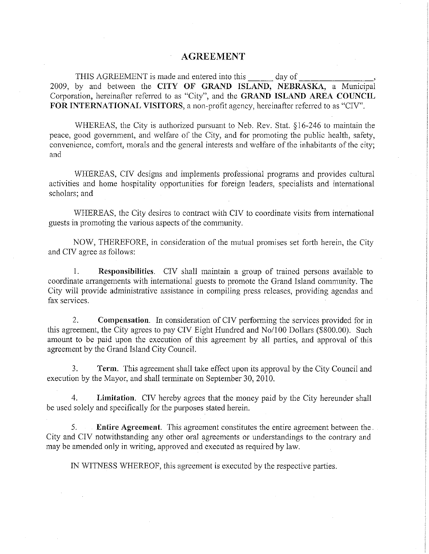#### **AGREEMENT**

 $\frac{1}{\sqrt{2}}$  day of THIS AGREEMENT is made and entered into this 2009, by and between the CITY OF GRAND ISLAND, NEBRASKA, a Municipal Corporation, hereinafter referred to as "City", and the GRAND ISLAND AREA COUNCIL FOR INTERNATIONAL VISITORS, a non-profit agency, hereinafter referred to as "CIV".

WHEREAS, the City is authorized pursuant to Neb. Rev. Stat. §16-246 to maintain the peace, good government, and welfare of the City, and for promoting the public health, safety, convenience, comfort, morals and the general interests and welfare of the inhabitants of the city; and

WHEREAS, CIV designs and implements professional programs and provides cultural activities and home hospitality opportunities for foreign leaders, specialists and international scholars; and

WHEREAS, the City desires to contract with CIV to coordinate visits from international guests in promoting the various aspects of the community.

NOW, THEREFORE, in consideration of the mutual promises set forth herein, the City and CIV agree as follows:

 $1.$ Responsibilities. CIV shall maintain a group of trained persons available to coordinate arrangements with international guests to promote the Grand Island community. The City will provide administrative assistance in compiling press releases, providing agendas and fax services.

 $2^{+}$ Compensation. In consideration of CIV performing the services provided for in this agreement, the City agrees to pay CIV Eight Hundred and No/100 Dollars (\$800.00). Such amount to be paid upon the execution of this agreement by all parties, and approval of this agreement by the Grand Island City Council.

Term. This agreement shall take effect upon its approval by the City Council and  $\mathcal{E}$ execution by the Mayor, and shall terminate on September 30, 2010.

Limitation. CIV hereby agrees that the money paid by the City hereunder shall  $4_{-}$ be used solely and specifically for the purposes stated herein.

**Entire Agreement.** This agreement constitutes the entire agreement between the 5. City and CIV notwithstanding any other oral agreements or understandings to the contrary and may be amended only in writing, approved and executed as required by law.

IN WITNESS WHEREOF, this agreement is executed by the respective parties.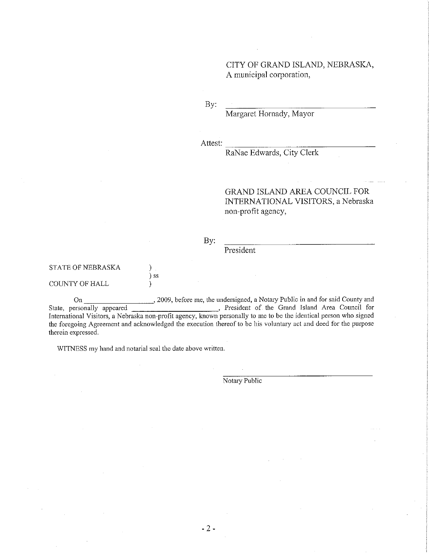CITY OF GRAND ISLAND, NEBRASKA, A municipal corporation,

By:

Margaret Hornady, Mayor

Attest:

RaNae Edwards, City Clerk

GRAND ISLAND AREA COUNCIL FOR INTERNATIONAL VISITORS, a Nebraska non-profit agency,

#### By:

### **STATE OF NEBRASKA**

#### COUNTY OF HALL

On State, personally appeared<br>
State, personally appeared<br>
Thermational Visitors, a Nebraska non-profit agency, known personally to me to be the identical person who signed the foregoing Agreement and acknowledged the execution thereof to be his voluntary act and deed for the purpose therein expressed.

WITNESS my hand and notarial seal the date above written.

 $\mathcal{F}$  $)$  ss

 $\lambda$ 

Notary Public

President

 $-2-$